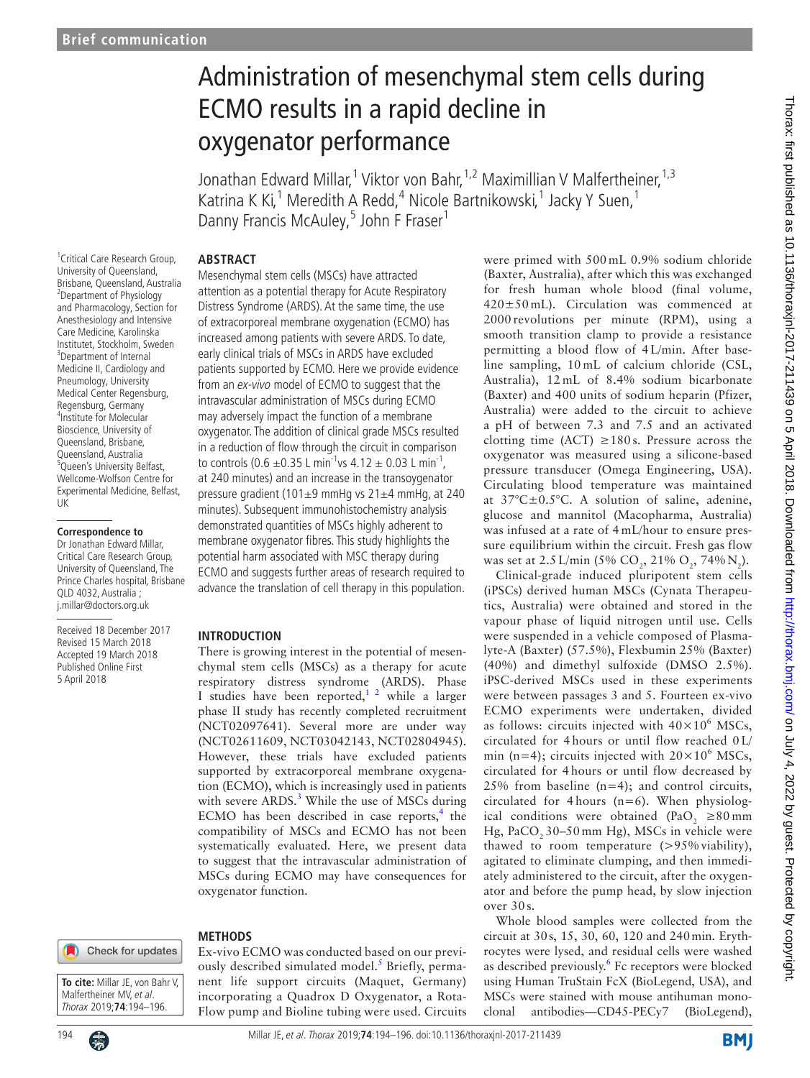# Administration of mesenchymal stem cells during ECMO results in a rapid decline in oxygenator performance

Jonathan Edward Millar,<sup>1</sup> Viktor von Bahr,<sup>1,2</sup> Maximillian V Malfertheiner,<sup>1,3</sup> Katrina K Ki,<sup>1</sup> Meredith A Redd,<sup>4</sup> Nicole Bartnikowski,<sup>1</sup> Jacky Y Suen,<sup>1</sup> Danny Francis McAuley,<sup>5</sup> John F Fraser<sup>1</sup>

### **Abstract**

<sup>1</sup> Critical Care Research Group, University of Queensland, Brisbane, Queensland, Australia <sup>2</sup> Department of Physiology and Pharmacology, Section for Anesthesiology and Intensive Care Medicine, Karolinska Institutet, Stockholm, Sweden <sup>3</sup>Department of Internal Medicine II, Cardiology and Pneumology, University Medical Center Regensburg, Regensburg, Germany 4 Institute for Molecular Bioscience, University of Queensland, Brisbane, Queensland, Australia <sup>5</sup>Queen's University Belfast, Wellcome-Wolfson Centre for Experimental Medicine, Belfast, UK

#### **Correspondence to**

Dr Jonathan Edward Millar, Critical Care Research Group, University of Queensland, The Prince Charles hospital, Brisbane QLD 4032, Australia ; j.millar@doctors.org.uk

Received 18 December 2017 Revised 15 March 2018 Accepted 19 March 2018 Published Online First 5 April 2018



**To cite:** Millar JE, von Bahr V, Malfertheiner MV, et al. Thorax 2019;**74**:194–196.

Mesenchymal stem cells (MSCs) have attracted attention as a potential therapy for Acute Respiratory Distress Syndrome (ARDS). At the same time, the use of extracorporeal membrane oxygenation (ECMO) has increased among patients with severe ARDS. To date, early clinical trials of MSCs in ARDS have excluded patients supported by ECMO. Here we provide evidence from an ex-vivo model of ECMO to suggest that the intravascular administration of MSCs during ECMO may adversely impact the function of a membrane oxygenator. The addition of clinical grade MSCs resulted in a reduction of flow through the circuit in comparison to controls (0.6  $\pm$ 0.35 L min<sup>-1</sup>vs 4.12  $\pm$  0.03 L min<sup>-1</sup>, at 240 minutes) and an increase in the transoygenator pressure gradient (101±9 mmHg vs 21±4 mmHg, at 240 minutes). Subsequent immunohistochemistry analysis demonstrated quantities of MSCs highly adherent to membrane oxygenator fibres. This study highlights the potential harm associated with MSC therapy during ECMO and suggests further areas of research required to advance the translation of cell therapy in this population.

#### **Introduction**

There is growing interest in the potential of mesenchymal stem cells (MSCs) as a therapy for acute respiratory distress syndrome (ARDS). Phase I studies have been reported,<sup>[1 2](#page-2-0)</sup> while a larger phase II study has recently completed recruitment (NCT02097641). Several more are under way (NCT02611609, NCT03042143, NCT02804945). However, these trials have excluded patients supported by extracorporeal membrane oxygenation (ECMO), which is increasingly used in patients with severe ARDS.<sup>[3](#page-2-1)</sup> While the use of MSCs during ECMO has been described in case reports, $<sup>4</sup>$  $<sup>4</sup>$  $<sup>4</sup>$  the</sup> compatibility of MSCs and ECMO has not been systematically evaluated. Here, we present data to suggest that the intravascular administration of MSCs during ECMO may have consequences for oxygenator function.

# **Methods**

Ex-vivo ECMO was conducted based on our previ-ously described simulated model.<sup>[5](#page-2-3)</sup> Briefly, permanent life support circuits (Maquet, Germany) incorporating a Quadrox D Oxygenator, a Rota-Flow pump and Bioline tubing were used. Circuits were primed with 500 mL 0.9% sodium chloride (Baxter, Australia), after which this was exchanged for fresh human whole blood (final volume, 420±50 mL). Circulation was commenced at 2000 revolutions per minute (RPM), using a smooth transition clamp to provide a resistance permitting a blood flow of 4 L/min. After baseline sampling, 10 mL of calcium chloride (CSL, Australia), 12 mL of 8.4% sodium bicarbonate (Baxter) and 400 units of sodium heparin (Pfizer, Australia) were added to the circuit to achieve a pH of between 7.3 and 7.5 and an activated clotting time (ACT)  $\geq$ 180s. Pressure across the oxygenator was measured using a silicone-based pressure transducer (Omega Engineering, USA). Circulating blood temperature was maintained at 37°C±0.5°C. A solution of saline, adenine, glucose and mannitol (Macopharma, Australia) was infused at a rate of 4 mL/hour to ensure pressure equilibrium within the circuit. Fresh gas flow was set at 2.5 L/min (5%  $CO_2$ , 21%  $O_2$ , 74%  $N_2$ ).

Clinical-grade induced pluripotent stem cells (iPSCs) derived human MSCs (Cynata Therapeutics, Australia) were obtained and stored in the vapour phase of liquid nitrogen until use. Cells were suspended in a vehicle composed of Plasmalyte-A (Baxter) (57.5%), Flexbumin 25% (Baxter) (40%) and dimethyl sulfoxide (DMSO 2.5%). iPSC-derived MSCs used in these experiments were between passages 3 and 5. Fourteen ex-vivo ECMO experiments were undertaken, divided as follows: circuits injected with  $40 \times 10^6$  MSCs, circulated for 4 hours or until flow reached 0 L/ min (n=4); circuits injected with  $20 \times 10^6$  MSCs, circulated for 4 hours or until flow decreased by 25% from baseline (n=4); and control circuits, circulated for 4 hours  $(n=6)$ . When physiological conditions were obtained (PaO<sub>2</sub>  $\geq 80 \text{ mm}$ Hg, PaCO, 30-50 mm Hg), MSCs in vehicle were thawed to room temperature (>95% viability), agitated to eliminate clumping, and then immediately administered to the circuit, after the oxygenator and before the pump head, by slow injection over 30 s.

Whole blood samples were collected from the circuit at 30s, 15, 30, 60, 120 and 240min. Erythrocytes were lysed, and residual cells were washed as described previously.<sup>6</sup> Fc receptors were blocked using Human TruStain FcX (BioLegend, USA), and MSCs were stained with mouse antihuman monoclonal antibodies—CD45-PECy7 (BioLegend),

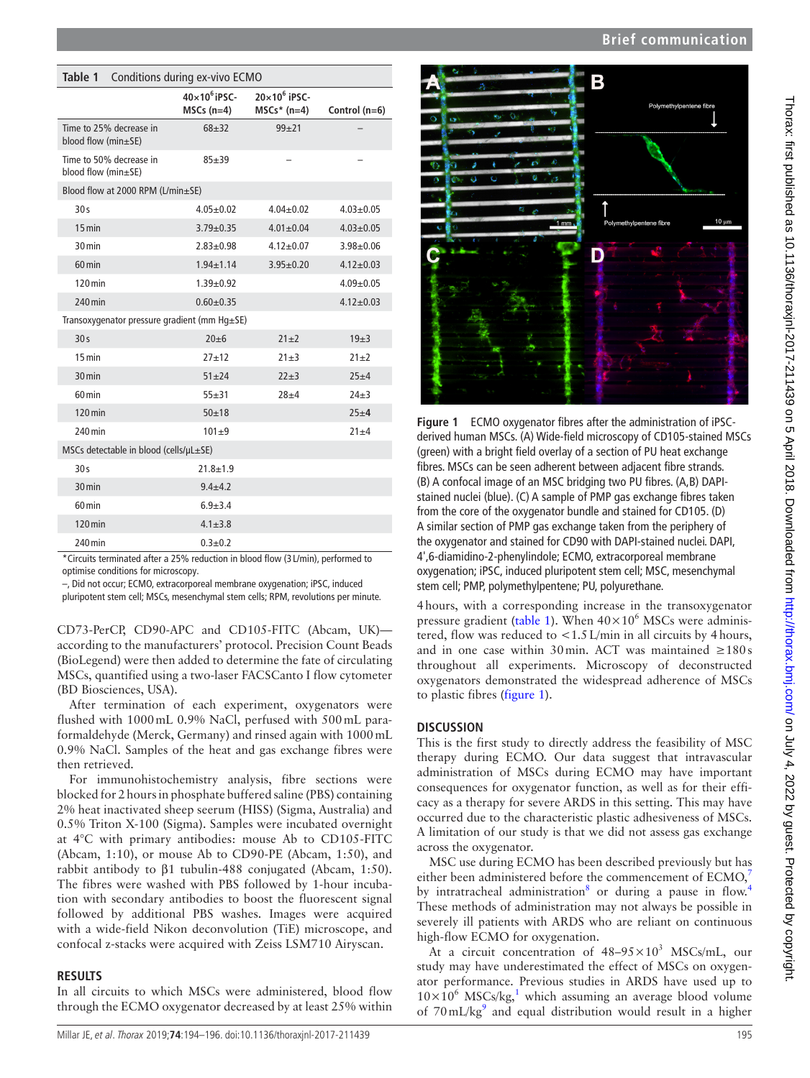| ì                                                  |
|----------------------------------------------------|
|                                                    |
|                                                    |
|                                                    |
|                                                    |
| 1                                                  |
|                                                    |
| ֞֘                                                 |
|                                                    |
| J                                                  |
|                                                    |
| $\overline{a}$                                     |
|                                                    |
| ļ                                                  |
|                                                    |
| <b>SANITE TO -- T</b>                              |
| $\ddot{\phantom{0}}$                               |
| $\frac{5}{5}$                                      |
|                                                    |
| l                                                  |
|                                                    |
| - The face of the distribution of the distribution |
|                                                    |
| $\ddot{\phantom{a}}$<br>l                          |
|                                                    |
| י<br>>                                             |
| i                                                  |
|                                                    |
|                                                    |
| $\mathbf{v}$                                       |
|                                                    |
| J                                                  |
| $\vdots$                                           |
|                                                    |
|                                                    |
|                                                    |
|                                                    |
|                                                    |
| ;                                                  |
|                                                    |
|                                                    |
|                                                    |
|                                                    |
|                                                    |
| ニューニュー<br>Ì                                        |
|                                                    |
|                                                    |
|                                                    |
|                                                    |
|                                                    |
|                                                    |
| horax.bmj.com                                      |
|                                                    |
|                                                    |
|                                                    |
|                                                    |
|                                                    |
| I                                                  |
| I                                                  |
|                                                    |
|                                                    |
|                                                    |
| ֚֓                                                 |
|                                                    |
| ׇ֘֝֬֝                                              |
|                                                    |
|                                                    |
|                                                    |
|                                                    |
|                                                    |
|                                                    |
|                                                    |
|                                                    |
|                                                    |

# **Brief communication**

<span id="page-1-0"></span>

| Table 1<br>Conditions during ex-vivo ECMO           |                                     |                                       |                 |  |
|-----------------------------------------------------|-------------------------------------|---------------------------------------|-----------------|--|
|                                                     | $40\times10^6$ iPSC-<br>$MSCs(n=4)$ | $20\times10^6$ iPSC-<br>$MSCs* (n=4)$ | Control (n=6)   |  |
| Time to 25% decrease in<br>blood flow (min±SE)      | $68 + 32$                           | $99 + 21$                             |                 |  |
| Time to 50% decrease in<br>blood flow (min±SE)      | $85 + 39$                           |                                       |                 |  |
| Blood flow at 2000 RPM (L/min±SE)                   |                                     |                                       |                 |  |
| 30s                                                 | $4.05 \pm 0.02$                     | $4.04 \pm 0.02$                       | $4.03 \pm 0.05$ |  |
| $15$ min                                            | $3.79 + 0.35$                       | $4.01 \pm 0.04$                       | $4.03 \pm 0.05$ |  |
| 30 min                                              | $2.83 + 0.98$                       | $4.12 \pm 0.07$                       | $3.98 \pm 0.06$ |  |
| $60 \,\mathrm{min}$                                 | $1.94 + 1.14$                       | $3.95 \pm 0.20$                       | $4.12 \pm 0.03$ |  |
| $120 \,\mathrm{min}$                                | $1.39 + 0.92$                       |                                       | $4.09 \pm 0.05$ |  |
| 240 min                                             | $0.60 \pm 0.35$                     |                                       | $4.12 \pm 0.03$ |  |
| Transoxygenator pressure gradient (mm $Hg \pm SE$ ) |                                     |                                       |                 |  |
| 30 <sub>s</sub>                                     | $20\pm 6$                           | $21 \pm 2$                            | 19±3            |  |
| $15 \text{ min}$                                    | $27 + 12$                           | $21 + 3$                              | $21 \pm 2$      |  |
| 30 min                                              | $51 + 24$                           | $22+3$                                | $25 + 4$        |  |
| 60 min                                              | $55 + 31$                           | $28 + 4$                              | $24 + 3$        |  |
| $120$ min                                           | $50 + 18$                           |                                       | $25 + 4$        |  |
| 240 min                                             | $101 + 9$                           |                                       | $21 + 4$        |  |
| MSCs detectable in blood (cells/µL±SE)              |                                     |                                       |                 |  |
| 30 <sub>s</sub>                                     | $21.8 + 1.9$                        |                                       |                 |  |
| $30 \text{ min}$                                    | $9.4 + 4.2$                         |                                       |                 |  |
| $60 \,\mathrm{min}$                                 | $6.9 + 3.4$                         |                                       |                 |  |
| $120$ min                                           | $4.1 \pm 3.8$                       |                                       |                 |  |
| 240 min                                             | $0.3 + 0.2$                         |                                       |                 |  |

optimise conditions for microscopy.

–, Did not occur; ECMO, extracorporeal membrane oxygenation; iPSC, induced

pluripotent stem cell; MSCs, mesenchymal stem cells; RPM, revolutions per minute.

CD73-PerCP, CD90-APC and CD105-FITC (Abcam, UK) according to the manufacturers' protocol. Precision Count Beads (BioLegend) were then added to determine the fate of circulating MSCs, quantified using a two-laser FACSCanto I flow cytometer (BD Biosciences, USA).

After termination of each experiment, oxygenators were flushed with 1000mL 0.9% NaCl, perfused with 500mL paraformaldehyde (Merck, Germany) and rinsed again with 1000mL 0.9% NaCl. Samples of the heat and gas exchange fibres were then retrieved.

For immunohistochemistry analysis, fibre sections were blocked for 2hours in phosphate buffered saline (PBS) containing 2% heat inactivated sheep seerum (HISS) (Sigma, Australia) and 0.5% Triton X-100 (Sigma). Samples were incubated overnight at 4°C with primary antibodies: mouse Ab to CD105-FITC (Abcam, 1:10), or mouse Ab to CD90-PE (Abcam, 1:50), and rabbit antibody to β1 tubulin-488 conjugated (Abcam, 1:50). The fibres were washed with PBS followed by 1-hour incubation with secondary antibodies to boost the fluorescent signal followed by additional PBS washes. Images were acquired with a wide-field Nikon deconvolution (TiE) microscope, and confocal z-stacks were acquired with Zeiss LSM710 Airyscan.

#### **Results**

In all circuits to which MSCs were administered, blood flow through the ECMO oxygenator decreased by at least 25% within



<span id="page-1-1"></span>**Figure 1** ECMO oxygenator fibres after the administration of iPSCderived human MSCs. (A) Wide-field microscopy of CD105-stained MSCs (green) with a bright field overlay of a section of PU heat exchange fibres. MSCs can be seen adherent between adjacent fibre strands. (B) A confocal image of an MSC bridging two PU fibres. (A,B) DAPIstained nuclei (blue). (C) A sample of PMP gas exchange fibres taken from the core of the oxygenator bundle and stained for CD105. (D) A similar section of PMP gas exchange taken from the periphery of the oxygenator and stained for CD90 with DAPI-stained nuclei. DAPI, 4',6-diamidino-2-phenylindole; ECMO, extracorporeal membrane oxygenation; iPSC, induced pluripotent stem cell; MSC, mesenchymal stem cell; PMP, polymethylpentene; PU, polyurethane.

4hours, with a corresponding increase in the transoxygenator pressure gradient ([table](#page-1-0) 1). When  $40 \times 10^6$  MSCs were administered, flow was reduced to  $<$  1.5 L/min in all circuits by 4 hours, and in one case within 30min. ACT was maintained  $\geq 180s$ throughout all experiments. Microscopy of deconstructed oxygenators demonstrated the widespread adherence of MSCs to plastic fibres ([figure](#page-1-1) 1).

## **Discussion**

This is the first study to directly address the feasibility of MSC therapy during ECMO. Our data suggest that intravascular administration of MSCs during ECMO may have important consequences for oxygenator function, as well as for their efficacy as a therapy for severe ARDS in this setting. This may have occurred due to the characteristic plastic adhesiveness of MSCs. A limitation of our study is that we did not assess gas exchange across the oxygenator.

MSC use during ECMO has been described previously but has either been administered before the commencement of  $ECMO$ , by intratracheal administration<sup>[8](#page-2-6)</sup> or during a pause in flow.<sup>[4](#page-2-2)</sup> These methods of administration may not always be possible in severely ill patients with ARDS who are reliant on continuous high-flow ECMO for oxygenation.

At a circuit concentration of  $48-95\times10^3$  MSCs/mL, our study may have underestimated the effect of MSCs on oxygenator performance. Previous studies in ARDS have used up to  $10\times10^6$  $10\times10^6$  MSCs/kg,<sup>1</sup> which assuming an average blood volume of  $70 \text{ mL/kg}^9$  $70 \text{ mL/kg}^9$  and equal distribution would result in a higher